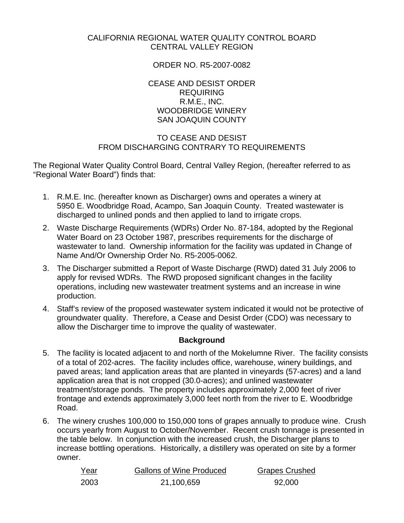#### CALIFORNIA REGIONAL WATER QUALITY CONTROL BOARD CENTRAL VALLEY REGION

#### ORDER NO. R5-2007-0082

CEASE AND DESIST ORDER REQUIRING R.M.E., INC. WOODBRIDGE WINERY SAN JOAQUIN COUNTY

## TO CEASE AND DESIST FROM DISCHARGING CONTRARY TO REQUIREMENTS

The Regional Water Quality Control Board, Central Valley Region, (hereafter referred to as "Regional Water Board") finds that:

- 1. R.M.E. Inc. (hereafter known as Discharger) owns and operates a winery at 5950 E. Woodbridge Road, Acampo, San Joaquin County. Treated wastewater is discharged to unlined ponds and then applied to land to irrigate crops.
- 2. Waste Discharge Requirements (WDRs) Order No. 87-184, adopted by the Regional Water Board on 23 October 1987, prescribes requirements for the discharge of wastewater to land. Ownership information for the facility was updated in Change of Name And/Or Ownership Order No. R5-2005-0062.
- 3. The Discharger submitted a Report of Waste Discharge (RWD) dated 31 July 2006 to apply for revised WDRs. The RWD proposed significant changes in the facility operations, including new wastewater treatment systems and an increase in wine production.
- 4. Staff's review of the proposed wastewater system indicated it would not be protective of groundwater quality. Therefore, a Cease and Desist Order (CDO) was necessary to allow the Discharger time to improve the quality of wastewater.

## **Background**

- 5. The facility is located adjacent to and north of the Mokelumne River. The facility consists of a total of 202-acres. The facility includes office, warehouse, winery buildings, and paved areas; land application areas that are planted in vineyards (57-acres) and a land application area that is not cropped (30.0-acres); and unlined wastewater treatment/storage ponds. The property includes approximately 2,000 feet of river frontage and extends approximately 3,000 feet north from the river to E. Woodbridge Road.
- 6. The winery crushes 100,000 to 150,000 tons of grapes annually to produce wine. Crush occurs yearly from August to October/November. Recent crush tonnage is presented in the table below. In conjunction with the increased crush, the Discharger plans to increase bottling operations. Historically, a distillery was operated on site by a former owner.

| Year | <b>Gallons of Wine Produced</b> | <b>Grapes Crushed</b> |
|------|---------------------------------|-----------------------|
| 2003 | 21,100,659                      | 92,000                |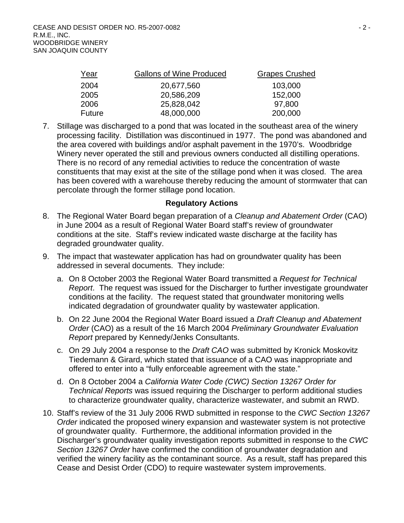| Year          | <b>Gallons of Wine Produced</b> | <b>Grapes Crushed</b> |
|---------------|---------------------------------|-----------------------|
| 2004          | 20,677,560                      | 103,000               |
| 2005          | 20,586,209                      | 152,000               |
| 2006          | 25,828,042                      | 97,800                |
| <b>Future</b> | 48,000,000                      | 200,000               |

7. Stillage was discharged to a pond that was located in the southeast area of the winery processing facility. Distillation was discontinued in 1977. The pond was abandoned and the area covered with buildings and/or asphalt pavement in the 1970's. Woodbridge Winery never operated the still and previous owners conducted all distilling operations. There is no record of any remedial activities to reduce the concentration of waste constituents that may exist at the site of the stillage pond when it was closed. The area has been covered with a warehouse thereby reducing the amount of stormwater that can percolate through the former stillage pond location.

#### **Regulatory Actions**

- 8. The Regional Water Board began preparation of a *Cleanup and Abatement Order* (CAO) in June 2004 as a result of Regional Water Board staff's review of groundwater conditions at the site. Staff's review indicated waste discharge at the facility has degraded groundwater quality.
- 9. The impact that wastewater application has had on groundwater quality has been addressed in several documents. They include:
	- a. On 8 October 2003 the Regional Water Board transmitted a *Request for Technical Report*. The request was issued for the Discharger to further investigate groundwater conditions at the facility. The request stated that groundwater monitoring wells indicated degradation of groundwater quality by wastewater application.
	- b. On 22 June 2004 the Regional Water Board issued a *Draft Cleanup and Abatement Order* (CAO) as a result of the 16 March 2004 *Preliminary Groundwater Evaluation Report* prepared by Kennedy/Jenks Consultants.
	- c. On 29 July 2004 a response to the *Draft CAO* was submitted by Kronick Moskovitz Tiedemann & Girard, which stated that issuance of a CAO was inappropriate and offered to enter into a "fully enforceable agreement with the state."
	- d. On 8 October 2004 a *California Water Code (CWC) Section 13267 Order for Technical Reports* was issued requiring the Discharger to perform additional studies to characterize groundwater quality, characterize wastewater, and submit an RWD.
- 10. Staff's review of the 31 July 2006 RWD submitted in response to the *CWC Section 13267 Order* indicated the proposed winery expansion and wastewater system is not protective of groundwater quality. Furthermore, the additional information provided in the Discharger's groundwater quality investigation reports submitted in response to the *CWC Section 13267 Order* have confirmed the condition of groundwater degradation and verified the winery facility as the contaminant source. As a result, staff has prepared this Cease and Desist Order (CDO) to require wastewater system improvements.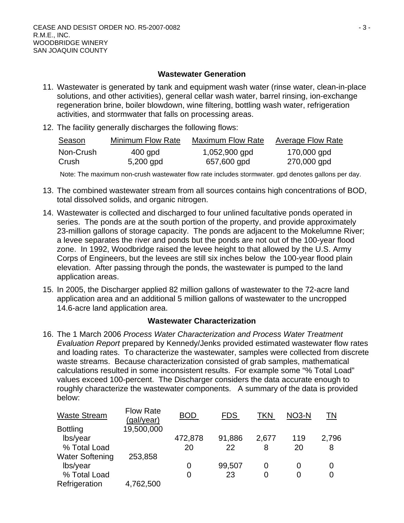#### **Wastewater Generation**

- 11. Wastewater is generated by tank and equipment wash water (rinse water, clean-in-place solutions, and other activities), general cellar wash water, barrel rinsing, ion-exchange regeneration brine, boiler blowdown, wine filtering, bottling wash water, refrigeration activities, and stormwater that falls on processing areas.
- 12. The facility generally discharges the following flows:

| Season    | <b>Minimum Flow Rate</b> | <b>Maximum Flow Rate</b> | <b>Average Flow Rate</b> |
|-----------|--------------------------|--------------------------|--------------------------|
| Non-Crush | 400 gpd                  | 1,052,900 gpd            | 170,000 gpd              |
| Crush     | 5,200 gpd                | 657,600 gpd              | 270,000 gpd              |

Note: The maximum non-crush wastewater flow rate includes stormwater. gpd denotes gallons per day.

- 13. The combined wastewater stream from all sources contains high concentrations of BOD, total dissolved solids, and organic nitrogen.
- 14. Wastewater is collected and discharged to four unlined facultative ponds operated in series. The ponds are at the south portion of the property, and provide approximately 23-million gallons of storage capacity. The ponds are adjacent to the Mokelumne River; a levee separates the river and ponds but the ponds are not out of the 100-year flood zone. In 1992, Woodbridge raised the levee height to that allowed by the U.S. Army Corps of Engineers, but the levees are still six inches below the 100-year flood plain elevation. After passing through the ponds, the wastewater is pumped to the land application areas.
- 15. In 2005, the Discharger applied 82 million gallons of wastewater to the 72-acre land application area and an additional 5 million gallons of wastewater to the uncropped 14.6-acre land application area.

## **Wastewater Characterization**

16. The 1 March 2006 *Process Water Characterization and Process Water Treatment Evaluation Report* prepared by Kennedy/Jenks provided estimated wastewater flow rates and loading rates. To characterize the wastewater, samples were collected from discrete waste streams. Because characterization consisted of grab samples, mathematical calculations resulted in some inconsistent results. For example some "% Total Load" values exceed 100-percent. The Discharger considers the data accurate enough to roughly characterize the wastewater components. A summary of the data is provided below:

| <b>Waste Stream</b>    | <b>Flow Rate</b><br>(gal/year) | <b>BOD</b> | <b>FDS</b> | TKN   | NO <sub>3</sub> -N | ΤN    |
|------------------------|--------------------------------|------------|------------|-------|--------------------|-------|
| <b>Bottling</b>        | 19,500,000                     |            |            |       |                    |       |
| lbs/year               |                                | 472,878    | 91,886     | 2,677 | 119                | 2,796 |
| % Total Load           |                                | 20         | 22         | 8     | 20                 | 8     |
| <b>Water Softening</b> | 253,858                        |            |            |       |                    |       |
| lbs/year               |                                | 0          | 99,507     | 0     | $\Omega$           | 0     |
| % Total Load           |                                | 0          | 23         | 0     | 0                  | 0     |
| Refrigeration          | 4,762,500                      |            |            |       |                    |       |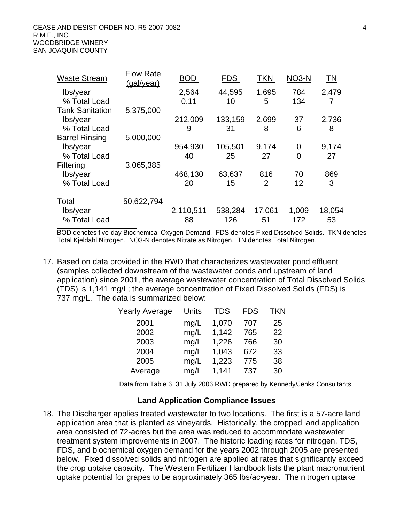| <b>Waste Stream</b>      | <b>Flow Rate</b><br>(gal/year) | <b>BOD</b>    | <b>FDS</b>    | <b>TKN</b> | NO <sub>3</sub> -N | <u>TN</u>  |
|--------------------------|--------------------------------|---------------|---------------|------------|--------------------|------------|
| lbs/year<br>% Total Load |                                | 2,564<br>0.11 | 44,595<br>10  | 1,695<br>5 | 784<br>134         | 2,479<br>7 |
| <b>Tank Sanitation</b>   | 5,375,000                      |               |               |            |                    |            |
| lbs/year<br>% Total Load |                                | 212,009<br>9  | 133,159<br>31 | 2,699<br>8 | 37<br>6            | 2,736<br>8 |
| <b>Barrel Rinsing</b>    | 5,000,000                      |               |               |            |                    |            |
| lbs/year                 |                                | 954,930       | 105,501       | 9,174      | 0                  | 9,174      |
| % Total Load             |                                | 40            | 25            | 27         | 0                  | 27         |
| Filtering                | 3,065,385                      |               |               |            |                    |            |
| lbs/year                 |                                | 468,130       | 63,637        | 816        | 70                 | 869        |
| % Total Load             |                                | 20            | 15            | 2          | 12                 | 3          |
| Total                    | 50,622,794                     |               |               |            |                    |            |
| lbs/year                 |                                | 2,110,511     | 538,284       | 17,061     | 1,009              | 18,054     |
| % Total Load             |                                | 88            | 126           | 51         | 172                | 53         |

BOD denotes five-day Biochemical Oxygen Demand. FDS denotes Fixed Dissolved Solids. TKN denotes Total Kjeldahl Nitrogen. NO3-N denotes Nitrate as Nitrogen. TN denotes Total Nitrogen.

17. Based on data provided in the RWD that characterizes wastewater pond effluent (samples collected downstream of the wastewater ponds and upstream of land application) since 2001, the average wastewater concentration of Total Dissolved Solids (TDS) is 1,141 mg/L; the average concentration of Fixed Dissolved Solids (FDS) is 737 mg/L. The data is summarized below:

| <b>Yearly Average</b> | Units | TDS   | <b>FDS</b> | TKN |
|-----------------------|-------|-------|------------|-----|
| 2001                  | mg/L  | 1,070 | 707        | 25  |
| 2002                  | mg/L  | 1,142 | 765        | 22  |
| 2003                  | mg/L  | 1,226 | 766        | 30  |
| 2004                  | mg/L  | 1,043 | 672        | 33  |
| 2005                  | mg/L  | 1,223 | 775        | 38  |
| Average               | mg/L  | 1.141 | 737        | 30  |

Data from Table 6, 31 July 2006 RWD prepared by Kennedy/Jenks Consultants.

#### **Land Application Compliance Issues**

18. The Discharger applies treated wastewater to two locations. The first is a 57-acre land application area that is planted as vineyards. Historically, the cropped land application area consisted of 72-acres but the area was reduced to accommodate wastewater treatment system improvements in 2007. The historic loading rates for nitrogen, TDS, FDS, and biochemical oxygen demand for the years 2002 through 2005 are presented below. Fixed dissolved solids and nitrogen are applied at rates that significantly exceed the crop uptake capacity. The Western Fertilizer Handbook lists the plant macronutrient uptake potential for grapes to be approximately 365 lbs/ac•year. The nitrogen uptake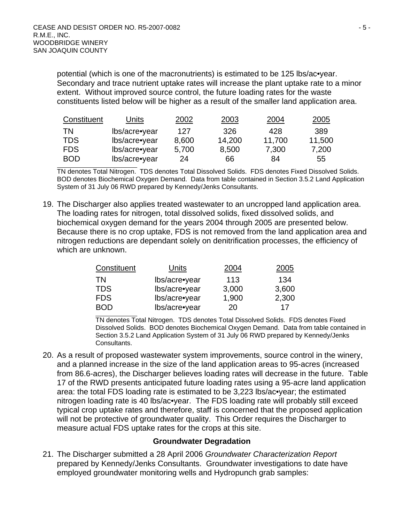potential (which is one of the macronutrients) is estimated to be 125 lbs/ac•year. Secondary and trace nutrient uptake rates will increase the plant uptake rate to a minor extent. Without improved source control, the future loading rates for the waste constituents listed below will be higher as a result of the smaller land application area.

| Constituent | Units         | 2002  | 2003   | 2004   | 2005   |
|-------------|---------------|-------|--------|--------|--------|
| <b>TN</b>   | lbs/acre•year | 127   | 326    | 428    | 389    |
| <b>TDS</b>  | lbs/acre•year | 8,600 | 14,200 | 11,700 | 11,500 |
| <b>FDS</b>  | lbs/acre•year | 5,700 | 8,500  | 7,300  | 7,200  |
| <b>BOD</b>  | lbs/acre•year | 24    | 66     | 84     | 55     |

TN denotes Total Nitrogen. TDS denotes Total Dissolved Solids. FDS denotes Fixed Dissolved Solids. BOD denotes Biochemical Oxygen Demand. Data from table contained in Section 3.5.2 Land Application System of 31 July 06 RWD prepared by Kennedy/Jenks Consultants.

19. The Discharger also applies treated wastewater to an uncropped land application area. The loading rates for nitrogen, total dissolved solids, fixed dissolved solids, and biochemical oxygen demand for the years 2004 through 2005 are presented below. Because there is no crop uptake, FDS is not removed from the land application area and nitrogen reductions are dependant solely on denitrification processes, the efficiency of which are unknown.

| Constituent | Units         | 2004  | 2005  |
|-------------|---------------|-------|-------|
| ΤN          | lbs/acre•year | 113   | 134   |
| TDS         | lbs/acre•year | 3,000 | 3,600 |
| <b>FDS</b>  | lbs/acre•year | 1,900 | 2,300 |
| <b>BOD</b>  | lbs/acre•year | 20    | 17    |

TN denotes Total Nitrogen. TDS denotes Total Dissolved Solids. FDS denotes Fixed Dissolved Solids. BOD denotes Biochemical Oxygen Demand. Data from table contained in Section 3.5.2 Land Application System of 31 July 06 RWD prepared by Kennedy/Jenks Consultants.

20. As a result of proposed wastewater system improvements, source control in the winery, and a planned increase in the size of the land application areas to 95-acres (increased from 86.6-acres), the Discharger believes loading rates will decrease in the future. Table 17 of the RWD presents anticipated future loading rates using a 95-acre land application area: the total FDS loading rate is estimated to be 3,223 lbs/ac•year; the estimated nitrogen loading rate is 40 lbs/ac•year. The FDS loading rate will probably still exceed typical crop uptake rates and therefore, staff is concerned that the proposed application will not be protective of groundwater quality. This Order requires the Discharger to measure actual FDS uptake rates for the crops at this site.

#### **Groundwater Degradation**

21. The Discharger submitted a 28 April 2006 *Groundwater Characterization Report* prepared by Kennedy/Jenks Consultants. Groundwater investigations to date have employed groundwater monitoring wells and Hydropunch grab samples: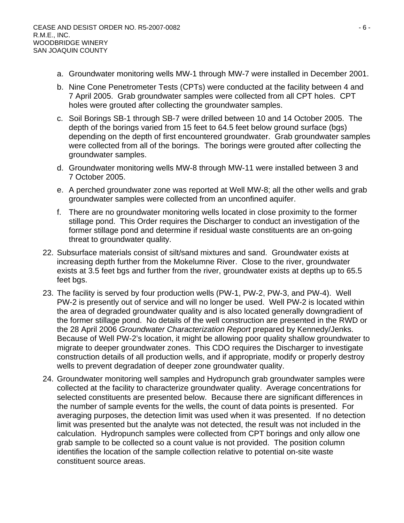- a. Groundwater monitoring wells MW-1 through MW-7 were installed in December 2001.
- b. Nine Cone Penetrometer Tests (CPTs) were conducted at the facility between 4 and 7 April 2005. Grab groundwater samples were collected from all CPT holes. CPT holes were grouted after collecting the groundwater samples.
- c. Soil Borings SB-1 through SB-7 were drilled between 10 and 14 October 2005. The depth of the borings varied from 15 feet to 64.5 feet below ground surface (bgs) depending on the depth of first encountered groundwater. Grab groundwater samples were collected from all of the borings. The borings were grouted after collecting the groundwater samples.
- d. Groundwater monitoring wells MW-8 through MW-11 were installed between 3 and 7 October 2005.
- e. A perched groundwater zone was reported at Well MW-8; all the other wells and grab groundwater samples were collected from an unconfined aquifer.
- f. There are no groundwater monitoring wells located in close proximity to the former stillage pond. This Order requires the Discharger to conduct an investigation of the former stillage pond and determine if residual waste constituents are an on-going threat to groundwater quality.
- 22. Subsurface materials consist of silt/sand mixtures and sand. Groundwater exists at increasing depth further from the Mokelumne River. Close to the river, groundwater exists at 3.5 feet bgs and further from the river, groundwater exists at depths up to 65.5 feet bgs.
- 23. The facility is served by four production wells (PW-1, PW-2, PW-3, and PW-4). Well PW-2 is presently out of service and will no longer be used. Well PW-2 is located within the area of degraded groundwater quality and is also located generally downgradient of the former stillage pond. No details of the well construction are presented in the RWD or the 28 April 2006 *Groundwater Characterization Report* prepared by Kennedy/Jenks. Because of Well PW-2's location, it might be allowing poor quality shallow groundwater to migrate to deeper groundwater zones. This CDO requires the Discharger to investigate construction details of all production wells, and if appropriate, modify or properly destroy wells to prevent degradation of deeper zone groundwater quality.
- 24. Groundwater monitoring well samples and Hydropunch grab groundwater samples were collected at the facility to characterize groundwater quality. Average concentrations for selected constituents are presented below. Because there are significant differences in the number of sample events for the wells, the count of data points is presented. For averaging purposes, the detection limit was used when it was presented. If no detection limit was presented but the analyte was not detected, the result was not included in the calculation. Hydropunch samples were collected from CPT borings and only allow one grab sample to be collected so a count value is not provided. The position column identifies the location of the sample collection relative to potential on-site waste constituent source areas.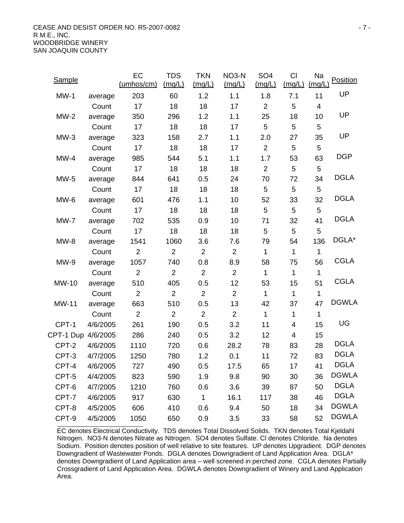CEASE AND DESIST ORDER NO. R5-2007-0082 - 7 - R.M.E., INC. WOODBRIDGE WINERY SAN JOAQUIN COUNTY

| <b>Sample</b>      |          | EC<br>(umbos/cm) | <b>TDS</b><br>(mg/L) | <b>TKN</b><br>(mg/L) | NO <sub>3</sub> -N<br>(mg/L) | SO <sub>4</sub><br>(mg/L) | <b>CI</b><br>(mg/L)     | Na<br>(mg/L)            | Position     |
|--------------------|----------|------------------|----------------------|----------------------|------------------------------|---------------------------|-------------------------|-------------------------|--------------|
| $MW-1$             | average  | 203              | 60                   | 1.2                  | 1.1                          | 1.8                       | 7.1                     | 11                      | UP           |
|                    | Count    | 17               | 18                   | 18                   | 17                           | $\overline{2}$            | 5                       | $\overline{\mathbf{4}}$ |              |
| $MW-2$             | average  | 350              | 296                  | 1.2                  | 1.1                          | 25                        | 18                      | 10                      | UP           |
|                    | Count    | 17               | 18                   | 18                   | 17                           | 5                         | 5                       | 5                       |              |
| $MW-3$             | average  | 323              | 158                  | 2.7                  | 1.1                          | 2.0                       | 27                      | 35                      | UP           |
|                    | Count    | 17               | 18                   | 18                   | 17                           | $\overline{2}$            | 5                       | 5                       |              |
| $MW-4$             | average  | 985              | 544                  | 5.1                  | 1.1                          | 1.7                       | 53                      | 63                      | <b>DGP</b>   |
|                    | Count    | 17               | 18                   | 18                   | 18                           | $\overline{2}$            | 5                       | 5                       |              |
| $MW-5$             | average  | 844              | 641                  | 0.5                  | 24                           | 70                        | 72                      | 34                      | <b>DGLA</b>  |
|                    | Count    | 17               | 18                   | 18                   | 18                           | 5                         | 5                       | 5                       |              |
| MW-6               | average  | 601              | 476                  | 1.1                  | 10                           | 52                        | 33                      | 32                      | <b>DGLA</b>  |
|                    | Count    | 17               | 18                   | 18                   | 18                           | 5                         | 5                       | 5                       |              |
| $MW-7$             | average  | 702              | 535                  | 0.9                  | 10                           | 71                        | 32                      | 41                      | <b>DGLA</b>  |
|                    | Count    | 17               | 18                   | 18                   | 18                           | 5                         | 5                       | 5                       |              |
| $MW-8$             | average  | 1541             | 1060                 | 3.6                  | 7.6                          | 79                        | 54                      | 136                     | DGLA*        |
|                    | Count    | $\overline{2}$   | 2                    | $\overline{2}$       | $\overline{2}$               | 1                         | $\mathbf{1}$            | $\mathbf 1$             |              |
| $MW-9$             | average  | 1057             | 740                  | 0.8                  | 8.9                          | 58                        | 75                      | 56                      | <b>CGLA</b>  |
|                    | Count    | $\overline{2}$   | $\overline{2}$       | $\overline{2}$       | $\overline{2}$               | $\mathbf{1}$              | $\mathbf{1}$            | $\mathbf{1}$            |              |
| MW-10              | average  | 510              | 405                  | 0.5                  | 12                           | 53                        | 15                      | 51                      | <b>CGLA</b>  |
|                    | Count    | $\overline{2}$   | $\overline{2}$       | $\overline{2}$       | 2                            | $\mathbf 1$               | $\mathbf 1$             | 1                       |              |
| MW-11              | average  | 663              | 510                  | 0.5                  | 13                           | 42                        | 37                      | 47                      | <b>DGWLA</b> |
|                    | Count    | $\overline{2}$   | 2                    | $\overline{2}$       | $\overline{2}$               | $\mathbf 1$               | 1                       | 1                       |              |
| CPT-1              | 4/6/2005 | 261              | 190                  | 0.5                  | 3.2                          | 11                        | $\overline{\mathbf{4}}$ | 15                      | UG           |
| CPT-1 Dup 4/6/2005 |          | 286              | 240                  | 0.5                  | 3.2                          | 12                        | $\overline{4}$          | 15                      |              |
| CPT-2              | 4/6/2005 | 1110             | 720                  | 0.6                  | 28.2                         | 78                        | 83                      | 28                      | <b>DGLA</b>  |
| CPT-3              | 4/7/2005 | 1250             | 780                  | 1.2                  | 0.1                          | 11                        | 72                      | 83                      | <b>DGLA</b>  |
| CPT-4              | 4/6/2005 | 727              | 490                  | 0.5                  | 17.5                         | 65                        | 17                      | 41                      | <b>DGLA</b>  |
| CPT-5              | 4/4/2005 | 823              | 590                  | 1.9                  | 9.8                          | 90                        | 30                      | 36                      | <b>DGWLA</b> |
| CPT-6              | 4/7/2005 | 1210             | 760                  | 0.6                  | 3.6                          | 39                        | 87                      | 50                      | <b>DGLA</b>  |
| CPT-7              | 4/6/2005 | 917              | 630                  | $\mathbf{1}$         | 16.1                         | 117                       | 38                      | 46                      | <b>DGLA</b>  |
| CPT-8              | 4/5/2005 | 606              | 410                  | 0.6                  | 9.4                          | 50                        | 18                      | 34                      | <b>DGWLA</b> |
| CPT-9              | 4/5/2005 | 1050             | 650                  | 0.9                  | 3.5                          | 33                        | 58                      | 52                      | <b>DGWLA</b> |

EC denotes Electrical Conductivity. TDS denotes Total Dissolved Solids. TKN denotes Total Kjeldahl Nitrogen. NO3-N denotes Nitrate as Nitrogen. SO4 denotes Sulfate. Cl denotes Chloride. Na denotes Sodium. Position denotes position of well relative to site features. UP denotes Upgradient. DGP denotes Downgradient of Wastewater Ponds. DGLA denotes Downgradient of Land Application Area. DGLA\* denotes Downgradient of Land Application area – well screened in perched zone. CGLA denotes Partially Crossgradient of Land Application Area. DGWLA denotes Downgradient of Winery and Land Application Area.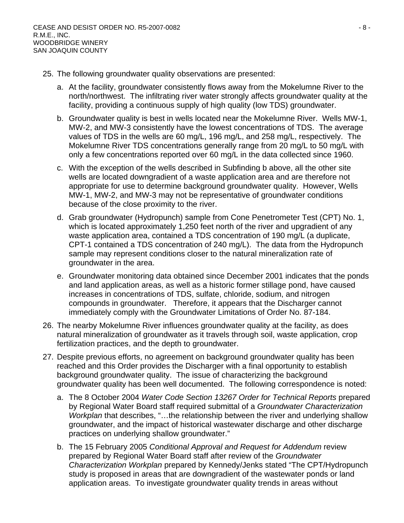- 25. The following groundwater quality observations are presented:
	- a. At the facility, groundwater consistently flows away from the Mokelumne River to the north/northwest. The infiltrating river water strongly affects groundwater quality at the facility, providing a continuous supply of high quality (low TDS) groundwater.
	- b. Groundwater quality is best in wells located near the Mokelumne River. Wells MW-1, MW-2, and MW-3 consistently have the lowest concentrations of TDS. The average values of TDS in the wells are 60 mg/L, 196 mg/L, and 258 mg/L, respectively. The Mokelumne River TDS concentrations generally range from 20 mg/L to 50 mg/L with only a few concentrations reported over 60 mg/L in the data collected since 1960.
	- c. With the exception of the wells described in Subfinding b above, all the other site wells are located downgradient of a waste application area and are therefore not appropriate for use to determine background groundwater quality. However, Wells MW-1, MW-2, and MW-3 may not be representative of groundwater conditions because of the close proximity to the river.
	- d. Grab groundwater (Hydropunch) sample from Cone Penetrometer Test (CPT) No. 1, which is located approximately 1,250 feet north of the river and upgradient of any waste application area, contained a TDS concentration of 190 mg/L (a duplicate, CPT-1 contained a TDS concentration of 240 mg/L). The data from the Hydropunch sample may represent conditions closer to the natural mineralization rate of groundwater in the area.
	- e. Groundwater monitoring data obtained since December 2001 indicates that the ponds and land application areas, as well as a historic former stillage pond, have caused increases in concentrations of TDS, sulfate, chloride, sodium, and nitrogen compounds in groundwater. Therefore, it appears that the Discharger cannot immediately comply with the Groundwater Limitations of Order No. 87-184.
- 26. The nearby Mokelumne River influences groundwater quality at the facility, as does natural mineralization of groundwater as it travels through soil, waste application, crop fertilization practices, and the depth to groundwater.
- 27. Despite previous efforts, no agreement on background groundwater quality has been reached and this Order provides the Discharger with a final opportunity to establish background groundwater quality. The issue of characterizing the background groundwater quality has been well documented. The following correspondence is noted:
	- a. The 8 October 2004 *Water Code Section 13267 Order for Technical Reports* prepared by Regional Water Board staff required submittal of a *Groundwater Characterization Workplan* that describes, "…the relationship between the river and underlying shallow groundwater, and the impact of historical wastewater discharge and other discharge practices on underlying shallow groundwater."
	- b. The 15 February 2005 *Conditional Approval and Request for Addendum* review prepared by Regional Water Board staff after review of the *Groundwater Characterization Workplan* prepared by Kennedy/Jenks stated "The CPT/Hydropunch study is proposed in areas that are downgradient of the wastewater ponds or land application areas. To investigate groundwater quality trends in areas without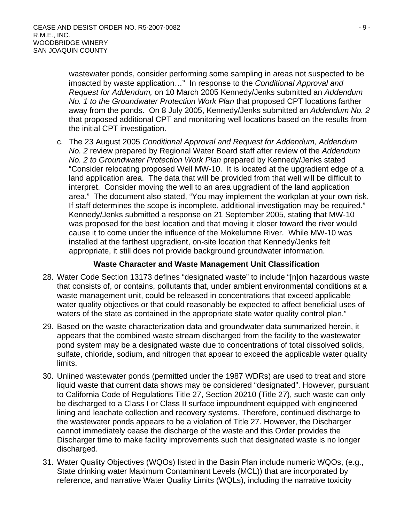wastewater ponds, consider performing some sampling in areas not suspected to be impacted by waste application…" In response to the *Conditional Approval and Request for Addendum,* on 10 March 2005 Kennedy/Jenks submitted an *Addendum No. 1 to the Groundwater Protection Work Plan* that proposed CPT locations farther away from the ponds. On 8 July 2005, Kennedy/Jenks submitted an *Addendum No. 2* that proposed additional CPT and monitoring well locations based on the results from the initial CPT investigation.

c. The 23 August 2005 *Conditional Approval and Request for Addendum, Addendum No. 2* review prepared by Regional Water Board staff after review of the *Addendum No. 2 to Groundwater Protection Work Plan* prepared by Kennedy/Jenks stated "Consider relocating proposed Well MW-10. It is located at the upgradient edge of a land application area. The data that will be provided from that well will be difficult to interpret. Consider moving the well to an area upgradient of the land application area." The document also stated, "You may implement the workplan at your own risk. If staff determines the scope is incomplete, additional investigation may be required." Kennedy/Jenks submitted a response on 21 September 2005, stating that MW-10 was proposed for the best location and that moving it closer toward the river would cause it to come under the influence of the Mokelumne River. While MW-10 was installed at the farthest upgradient, on-site location that Kennedy/Jenks felt appropriate, it still does not provide background groundwater information.

## **Waste Character and Waste Management Unit Classification**

- 28. Water Code Section 13173 defines "designated waste" to include "[n]on hazardous waste that consists of, or contains, pollutants that, under ambient environmental conditions at a waste management unit, could be released in concentrations that exceed applicable water quality objectives or that could reasonably be expected to affect beneficial uses of waters of the state as contained in the appropriate state water quality control plan."
- 29. Based on the waste characterization data and groundwater data summarized herein, it appears that the combined waste stream discharged from the facility to the wastewater pond system may be a designated waste due to concentrations of total dissolved solids, sulfate, chloride, sodium, and nitrogen that appear to exceed the applicable water quality limits.
- 30. Unlined wastewater ponds (permitted under the 1987 WDRs) are used to treat and store liquid waste that current data shows may be considered "designated". However, pursuant to California Code of Regulations Title 27, Section 20210 (Title 27), such waste can only be discharged to a Class I or Class II surface impoundment equipped with engineered lining and leachate collection and recovery systems. Therefore, continued discharge to the wastewater ponds appears to be a violation of Title 27. However, the Discharger cannot immediately cease the discharge of the waste and this Order provides the Discharger time to make facility improvements such that designated waste is no longer discharged.
- 31. Water Quality Objectives (WQOs) listed in the Basin Plan include numeric WQOs, (e.g., State drinking water Maximum Contaminant Levels (MCL)) that are incorporated by reference, and narrative Water Quality Limits (WQLs), including the narrative toxicity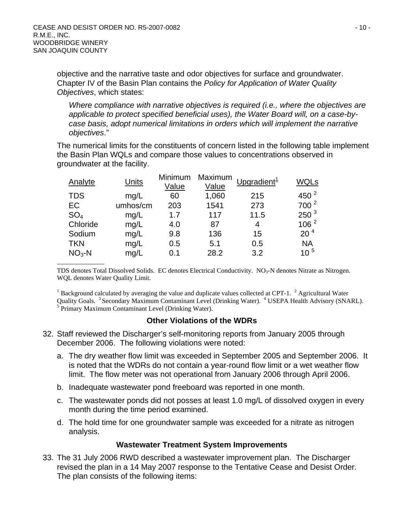objective and the narrative taste and odor objectives for surface and groundwater. Chapter IV of the Basin Plan contains the *Policy for Application of Water Quality Objectives*, which states:

*Where compliance with narrative objectives is required (i.e., where the objectives are applicable to protect specified beneficial uses), the Water Board will, on a case-bycase basis, adopt numerical limitations in orders which will implement the narrative objectives*."

The numerical limits for the constituents of concern listed in the following table implement the Basin Plan WQLs and compare those values to concentrations observed in groundwater at the facility.

| Analyte         | <b>Units</b> | Minimum<br>Value | Maximum<br>Value | Upgradient <sup>1</sup> | WQLs             |
|-----------------|--------------|------------------|------------------|-------------------------|------------------|
| <b>TDS</b>      | mq/L         | 60               | 1,060            | 215                     | 450 $2$          |
| EC              | umhos/cm     | 203              | 1541             | 273                     | $700^2$          |
| SO <sub>4</sub> | mg/L         | 1.7              | 117              | 11.5                    | 250 <sup>3</sup> |
| Chloride        | mg/L         | 4.0              | 87               | 4                       | 106 <sup>2</sup> |
| Sodium          | mg/L         | 9.8              | 136              | 15                      | 20 <sup>4</sup>  |
| <b>TKN</b>      | mg/L         | 0.5              | 5.1              | 0.5                     | <b>NA</b>        |
| $NO3 - N$       | mg/L         | 0.1              | 28.2             | 3.2                     | $10^{5}$         |

TDS denotes Total Dissolved Solids. EC denotes Electrical Conductivity. NO<sub>3</sub>-N denotes Nitrate as Nitrogen. WQL denotes Water Quality Limit.

<sup>1</sup> Background calculated by averaging the value and duplicate values collected at CPT-1. <sup>2</sup> Agricultural Water Quality Goals. <sup>3</sup> Secondary Maximum Contaminant Level (Drinking Water). <sup>4</sup> USEPA Health Advisory (SNARL).  $5$  Primary Maximum Contaminant Level (Drinking Water).

#### **Other Violations of the WDRs**

- 32. Staff reviewed the Discharger's self-monitoring reports from January 2005 through December 2006. The following violations were noted:
	- a. The dry weather flow limit was exceeded in September 2005 and September 2006. It is noted that the WDRs do not contain a year-round flow limit or a wet weather flow limit. The flow meter was not operational from January 2006 through April 2006.
	- b. Inadequate wastewater pond freeboard was reported in one month.
	- c. The wastewater ponds did not posses at least 1.0 mg/L of dissolved oxygen in every month during the time period examined.
	- d. The hold time for one groundwater sample was exceeded for a nitrate as nitrogen analysis.

#### **Wastewater Treatment System Improvements**

33. The 31 July 2006 RWD described a wastewater improvement plan. The Discharger revised the plan in a 14 May 2007 response to the Tentative Cease and Desist Order. The plan consists of the following items: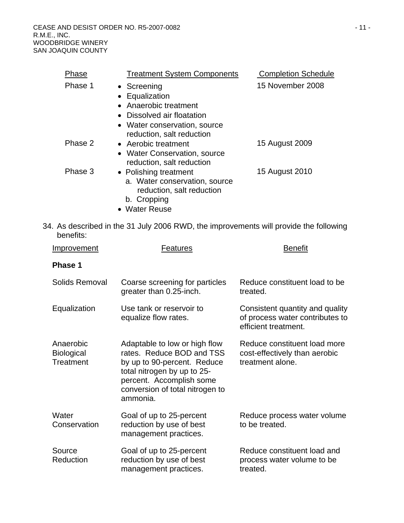CEASE AND DESIST ORDER NO. R5-2007-0082 **and Secure 2018** - 11 -R.M.E., INC. WOODBRIDGE WINERY SAN JOAQUIN COUNTY

| Phase   | <b>Treatment System Components</b> | <b>Completion Schedule</b> |
|---------|------------------------------------|----------------------------|
| Phase 1 | • Screening                        | 15 November 2008           |
|         | • Equalization                     |                            |
|         | • Anaerobic treatment              |                            |
|         | • Dissolved air floatation         |                            |
|         | • Water conservation, source       |                            |
|         | reduction, salt reduction          |                            |
| Phase 2 | • Aerobic treatment                | 15 August 2009             |
|         | • Water Conservation, source       |                            |
|         | reduction, salt reduction          |                            |
| Phase 3 | • Polishing treatment              | 15 August 2010             |
|         | a. Water conservation, source      |                            |
|         | reduction, salt reduction          |                            |
|         | b. Cropping                        |                            |
|         | • Water Reuse                      |                            |

34. As described in the 31 July 2006 RWD, the improvements will provide the following benefits:

| Improvement                                 | <b>Features</b>                                                                                                                                                                                     | <b>Benefit</b>                                                                             |  |
|---------------------------------------------|-----------------------------------------------------------------------------------------------------------------------------------------------------------------------------------------------------|--------------------------------------------------------------------------------------------|--|
| Phase 1                                     |                                                                                                                                                                                                     |                                                                                            |  |
| Solids Removal                              | Coarse screening for particles<br>greater than 0.25-inch.                                                                                                                                           | Reduce constituent load to be<br>treated.                                                  |  |
| Equalization                                | Use tank or reservoir to<br>equalize flow rates.                                                                                                                                                    | Consistent quantity and quality<br>of process water contributes to<br>efficient treatment. |  |
| Anaerobic<br><b>Biological</b><br>Treatment | Adaptable to low or high flow<br>rates. Reduce BOD and TSS<br>by up to 90-percent. Reduce<br>total nitrogen by up to 25-<br>percent. Accomplish some<br>conversion of total nitrogen to<br>ammonia. | Reduce constituent load more<br>cost-effectively than aerobic<br>treatment alone.          |  |
| Water<br>Conservation                       | Goal of up to 25-percent<br>reduction by use of best<br>management practices.                                                                                                                       | Reduce process water volume<br>to be treated.                                              |  |
| Source<br>Reduction                         | Goal of up to 25-percent<br>reduction by use of best<br>management practices.                                                                                                                       | Reduce constituent load and<br>process water volume to be<br>treated.                      |  |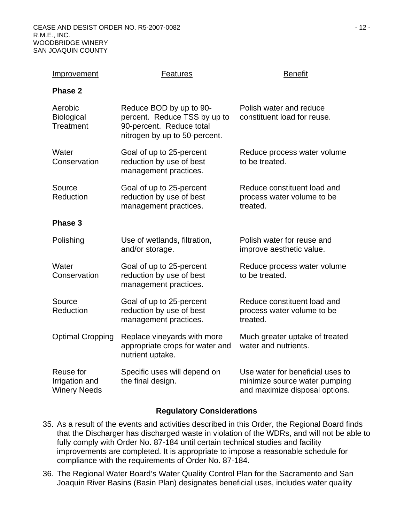| <b>Improvement</b>                                 | <b>Features</b>                                                                                                      | <b>Benefit</b>                                                                                      |
|----------------------------------------------------|----------------------------------------------------------------------------------------------------------------------|-----------------------------------------------------------------------------------------------------|
| <b>Phase 2</b>                                     |                                                                                                                      |                                                                                                     |
| Aerobic<br><b>Biological</b><br>Treatment          | Reduce BOD by up to 90-<br>percent. Reduce TSS by up to<br>90-percent. Reduce total<br>nitrogen by up to 50-percent. | Polish water and reduce<br>constituent load for reuse.                                              |
| Water<br>Conservation                              | Goal of up to 25-percent<br>reduction by use of best<br>management practices.                                        | Reduce process water volume<br>to be treated.                                                       |
| Source<br>Reduction                                | Goal of up to 25-percent<br>reduction by use of best<br>management practices.                                        | Reduce constituent load and<br>process water volume to be<br>treated.                               |
| Phase 3                                            |                                                                                                                      |                                                                                                     |
| Polishing                                          | Use of wetlands, filtration,<br>and/or storage.                                                                      | Polish water for reuse and<br>improve aesthetic value.                                              |
| Water<br>Conservation                              | Goal of up to 25-percent<br>reduction by use of best<br>management practices.                                        | Reduce process water volume<br>to be treated.                                                       |
| Source<br>Reduction                                | Goal of up to 25-percent<br>reduction by use of best<br>management practices.                                        | Reduce constituent load and<br>process water volume to be<br>treated.                               |
| <b>Optimal Cropping</b>                            | Replace vineyards with more<br>appropriate crops for water and<br>nutrient uptake.                                   | Much greater uptake of treated<br>water and nutrients.                                              |
| Reuse for<br>Irrigation and<br><b>Winery Needs</b> | Specific uses will depend on<br>the final design.                                                                    | Use water for beneficial uses to<br>minimize source water pumping<br>and maximize disposal options. |

#### **Regulatory Considerations**

- 35. As a result of the events and activities described in this Order, the Regional Board finds that the Discharger has discharged waste in violation of the WDRs, and will not be able to fully comply with Order No. 87-184 until certain technical studies and facility improvements are completed. It is appropriate to impose a reasonable schedule for compliance with the requirements of Order No. 87-184.
- 36. The Regional Water Board's Water Quality Control Plan for the Sacramento and San Joaquin River Basins (Basin Plan) designates beneficial uses, includes water quality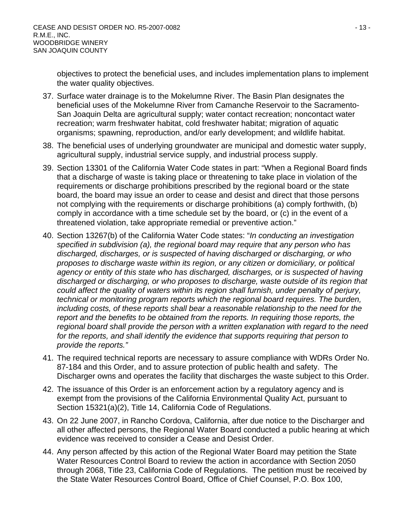objectives to protect the beneficial uses, and includes implementation plans to implement the water quality objectives.

- 37. Surface water drainage is to the Mokelumne River. The Basin Plan designates the beneficial uses of the Mokelumne River from Camanche Reservoir to the Sacramento-San Joaquin Delta are agricultural supply; water contact recreation; noncontact water recreation; warm freshwater habitat, cold freshwater habitat; migration of aquatic organisms; spawning, reproduction, and/or early development; and wildlife habitat.
- 38. The beneficial uses of underlying groundwater are municipal and domestic water supply, agricultural supply, industrial service supply, and industrial process supply.
- 39. Section 13301 of the California Water Code states in part: "When a Regional Board finds that a discharge of waste is taking place or threatening to take place in violation of the requirements or discharge prohibitions prescribed by the regional board or the state board, the board may issue an order to cease and desist and direct that those persons not complying with the requirements or discharge prohibitions (a) comply forthwith, (b) comply in accordance with a time schedule set by the board, or (c) in the event of a threatened violation, take appropriate remedial or preventive action."
- 40. Section 13267(b) of the California Water Code states: "*In conducting an investigation specified in subdivision (a), the regional board may require that any person who has discharged, discharges, or is suspected of having discharged or discharging, or who proposes to discharge waste within its region, or any citizen or domiciliary, or political agency or entity of this state who has discharged, discharges, or is suspected of having discharged or discharging, or who proposes to discharge, waste outside of its region that could affect the quality of waters within its region shall furnish, under penalty of perjury, technical or monitoring program reports which the regional board requires. The burden, including costs, of these reports shall bear a reasonable relationship to the need for the report and the benefits to be obtained from the reports. In requiring those reports, the regional board shall provide the person with a written explanation with regard to the need for the reports, and shall identify the evidence that supports requiring that person to provide the reports."*
- 41. The required technical reports are necessary to assure compliance with WDRs Order No. 87-184 and this Order, and to assure protection of public health and safety. The Discharger owns and operates the facility that discharges the waste subject to this Order.
- 42. The issuance of this Order is an enforcement action by a regulatory agency and is exempt from the provisions of the California Environmental Quality Act, pursuant to Section 15321(a)(2), Title 14, California Code of Regulations.
- 43. On 22 June 2007, in Rancho Cordova, California, after due notice to the Discharger and all other affected persons, the Regional Water Board conducted a public hearing at which evidence was received to consider a Cease and Desist Order.
- 44. Any person affected by this action of the Regional Water Board may petition the State Water Resources Control Board to review the action in accordance with Section 2050 through 2068, Title 23, California Code of Regulations. The petition must be received by the State Water Resources Control Board, Office of Chief Counsel, P.O. Box 100,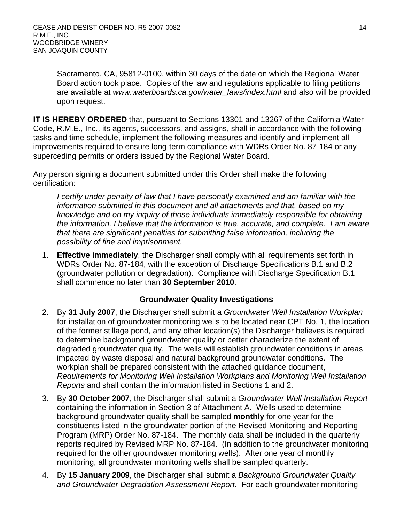Sacramento, CA, 95812-0100, within 30 days of the date on which the Regional Water Board action took place. Copies of the law and regulations applicable to filing petitions are available at *[www.waterboards.ca.gov/water\\_laws/index.html](http://www.waterboardsswrcb.ca.gov/water_laws/index.html)* and also will be provided upon request.

**IT IS HEREBY ORDERED** that, pursuant to Sections 13301 and 13267 of the California Water Code, R.M.E., Inc., its agents, successors, and assigns, shall in accordance with the following tasks and time schedule, implement the following measures and identify and implement all improvements required to ensure long-term compliance with WDRs Order No. 87-184 or any superceding permits or orders issued by the Regional Water Board.

Any person signing a document submitted under this Order shall make the following certification:

*I certify under penalty of law that I have personally examined and am familiar with the information submitted in this document and all attachments and that, based on my knowledge and on my inquiry of those individuals immediately responsible for obtaining the information, I believe that the information is true, accurate, and complete. I am aware that there are significant penalties for submitting false information, including the possibility of fine and imprisonment.* 

1. **Effective immediately**, the Discharger shall comply with all requirements set forth in WDRs Order No. 87-184, with the exception of Discharge Specifications B.1 and B.2 (groundwater pollution or degradation). Compliance with Discharge Specification B.1 shall commence no later than **30 September 2010**.

## **Groundwater Quality Investigations**

- 2. By **31 July 2007**, the Discharger shall submit a *Groundwater Well Installation Workplan* for installation of groundwater monitoring wells to be located near CPT No. 1, the location of the former stillage pond, and any other location(s) the Discharger believes is required to determine background groundwater quality or better characterize the extent of degraded groundwater quality. The wells will establish groundwater conditions in areas impacted by waste disposal and natural background groundwater conditions. The workplan shall be prepared consistent with the attached guidance document, *Requirements for Monitoring Well Installation Workplans and Monitoring Well Installation Reports* and shall contain the information listed in Sections 1 and 2.
- 3. By **30 October 2007**, the Discharger shall submit a *Groundwater Well Installation Report* containing the information in Section 3 of Attachment A. Wells used to determine background groundwater quality shall be sampled **monthly** for one year for the constituents listed in the groundwater portion of the Revised Monitoring and Reporting Program (MRP) Order No. 87-184. The monthly data shall be included in the quarterly reports required by Revised MRP No. 87-184. (In addition to the groundwater monitoring required for the other groundwater monitoring wells). After one year of monthly monitoring, all groundwater monitoring wells shall be sampled quarterly.
- 4. By **15 January 2009**, the Discharger shall submit a *Background Groundwater Quality and Groundwater Degradation Assessment Report*. For each groundwater monitoring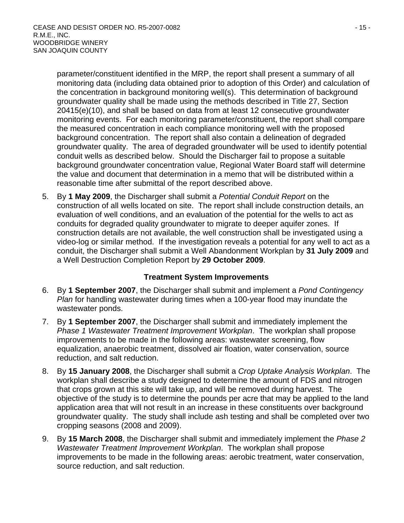parameter/constituent identified in the MRP, the report shall present a summary of all monitoring data (including data obtained prior to adoption of this Order) and calculation of the concentration in background monitoring well(s). This determination of background groundwater quality shall be made using the methods described in Title 27, Section 20415(e)(10), and shall be based on data from at least 12 consecutive groundwater monitoring events. For each monitoring parameter/constituent, the report shall compare the measured concentration in each compliance monitoring well with the proposed background concentration. The report shall also contain a delineation of degraded groundwater quality. The area of degraded groundwater will be used to identify potential conduit wells as described below. Should the Discharger fail to propose a suitable background groundwater concentration value, Regional Water Board staff will determine the value and document that determination in a memo that will be distributed within a reasonable time after submittal of the report described above.

5. By **1 May 2009**, the Discharger shall submit a *Potential Conduit Report* on the construction of all wells located on site. The report shall include construction details, an evaluation of well conditions, and an evaluation of the potential for the wells to act as conduits for degraded quality groundwater to migrate to deeper aquifer zones. If construction details are not available, the well construction shall be investigated using a video-log or similar method. If the investigation reveals a potential for any well to act as a conduit, the Discharger shall submit a Well Abandonment Workplan by **31 July 2009** and a Well Destruction Completion Report by **29 October 2009**.

## **Treatment System Improvements**

- 6. By **1 September 2007**, the Discharger shall submit and implement a *Pond Contingency Plan* for handling wastewater during times when a 100-year flood may inundate the wastewater ponds.
- 7. By **1 September 2007**, the Discharger shall submit and immediately implement the *Phase 1 Wastewater Treatment Improvement Workplan*. The workplan shall propose improvements to be made in the following areas: wastewater screening, flow equalization, anaerobic treatment, dissolved air floation, water conservation, source reduction, and salt reduction.
- 8. By **15 January 2008**, the Discharger shall submit a *Crop Uptake Analysis Workplan*. The workplan shall describe a study designed to determine the amount of FDS and nitrogen that crops grown at this site will take up, and will be removed during harvest. The objective of the study is to determine the pounds per acre that may be applied to the land application area that will not result in an increase in these constituents over background groundwater quality. The study shall include ash testing and shall be completed over two cropping seasons (2008 and 2009).
- 9. By **15 March 2008**, the Discharger shall submit and immediately implement the *Phase 2 Wastewater Treatment Improvement Workplan*. The workplan shall propose improvements to be made in the following areas: aerobic treatment, water conservation, source reduction, and salt reduction.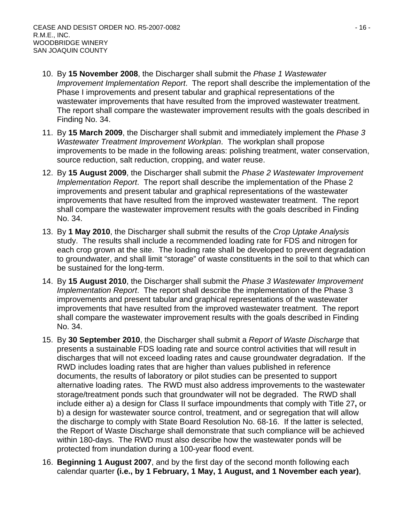- 10. By **15 November 2008**, the Discharger shall submit the *Phase 1 Wastewater Improvement Implementation Report*. The report shall describe the implementation of the Phase I improvements and present tabular and graphical representations of the wastewater improvements that have resulted from the improved wastewater treatment. The report shall compare the wastewater improvement results with the goals described in Finding No. 34.
- 11. By **15 March 2009**, the Discharger shall submit and immediately implement the *Phase 3 Wastewater Treatment Improvement Workplan*. The workplan shall propose improvements to be made in the following areas: polishing treatment, water conservation, source reduction, salt reduction, cropping, and water reuse.
- 12. By **15 August 2009**, the Discharger shall submit the *Phase 2 Wastewater Improvement Implementation Report*. The report shall describe the implementation of the Phase 2 improvements and present tabular and graphical representations of the wastewater improvements that have resulted from the improved wastewater treatment. The report shall compare the wastewater improvement results with the goals described in Finding No. 34.
- 13. By **1 May 2010**, the Discharger shall submit the results of the *Crop Uptake Analysis*  study. The results shall include a recommended loading rate for FDS and nitrogen for each crop grown at the site. The loading rate shall be developed to prevent degradation to groundwater, and shall limit "storage" of waste constituents in the soil to that which can be sustained for the long-term.
- 14. By **15 August 2010**, the Discharger shall submit the *Phase 3 Wastewater Improvement Implementation Report*. The report shall describe the implementation of the Phase 3 improvements and present tabular and graphical representations of the wastewater improvements that have resulted from the improved wastewater treatment. The report shall compare the wastewater improvement results with the goals described in Finding No. 34.
- 15. By **30 September 2010**, the Discharger shall submit a *Report of Waste Discharge* that presents a sustainable FDS loading rate and source control activities that will result in discharges that will not exceed loading rates and cause groundwater degradation. If the RWD includes loading rates that are higher than values published in reference documents, the results of laboratory or pilot studies can be presented to support alternative loading rates. The RWD must also address improvements to the wastewater storage/treatment ponds such that groundwater will not be degraded. The RWD shall include either a) a design for Class II surface impoundments that comply with Title 27**,** or b) a design for wastewater source control, treatment, and or segregation that will allow the discharge to comply with State Board Resolution No. 68-16. If the latter is selected, the Report of Waste Discharge shall demonstrate that such compliance will be achieved within 180-days. The RWD must also describe how the wastewater ponds will be protected from inundation during a 100-year flood event.
- 16. **Beginning 1 August 2007**, and by the first day of the second month following each calendar quarter **(i.e., by 1 February, 1 May, 1 August, and 1 November each year)**,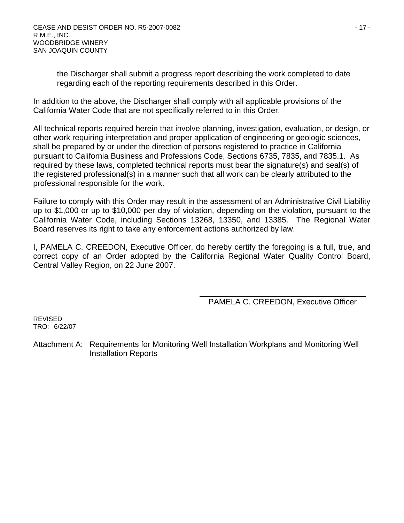the Discharger shall submit a progress report describing the work completed to date regarding each of the reporting requirements described in this Order.

In addition to the above, the Discharger shall comply with all applicable provisions of the California Water Code that are not specifically referred to in this Order.

All technical reports required herein that involve planning, investigation, evaluation, or design, or other work requiring interpretation and proper application of engineering or geologic sciences, shall be prepared by or under the direction of persons registered to practice in California pursuant to California Business and Professions Code, Sections 6735, 7835, and 7835.1. As required by these laws, completed technical reports must bear the signature(s) and seal(s) of the registered professional(s) in a manner such that all work can be clearly attributed to the professional responsible for the work.

Failure to comply with this Order may result in the assessment of an Administrative Civil Liability up to \$1,000 or up to \$10,000 per day of violation, depending on the violation, pursuant to the California Water Code, including Sections 13268, 13350, and 13385. The Regional Water Board reserves its right to take any enforcement actions authorized by law.

I, PAMELA C. CREEDON, Executive Officer, do hereby certify the foregoing is a full, true, and correct copy of an Order adopted by the California Regional Water Quality Control Board, Central Valley Region, on 22 June 2007.

PAMELA C. CREEDON, Executive Officer

 REVISED TRO: 6/22/07

Attachment A: Requirements for Monitoring Well Installation Workplans and Monitoring Well Installation Reports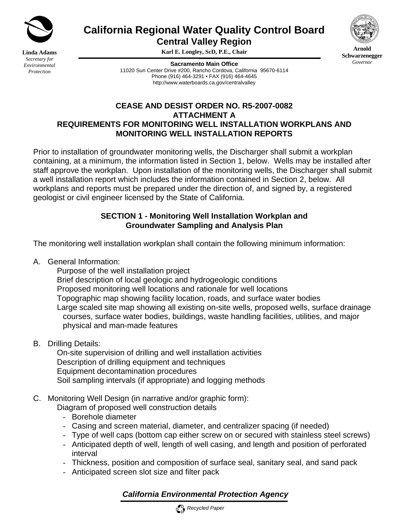

**Linda Adams** *Secretary for Environmental Protection*

**California Regional Water Quality Control Board** 

**Central Valley Region** 

**Karl E. Longley, ScD, P.E., Chair** 

**Sacramento Main Office** 11020 Sun Center Drive #200, Rancho Cordova, California 95670-6114 Phone (916) 464-3291 • FAX (916) 464-4645 http://www.waterboards.ca.gov/centralvalley

## **CEASE AND DESIST ORDER NO. R5-2007-0082 ATTACHMENT A REQUIREMENTS FOR MONITORING WELL INSTALLATION WORKPLANS AND MONITORING WELL INSTALLATION REPORTS**

Prior to installation of groundwater monitoring wells, the Discharger shall submit a workplan containing, at a minimum, the information listed in Section 1, below. Wells may be installed after staff approve the workplan. Upon installation of the monitoring wells, the Discharger shall submit a well installation report which includes the information contained in Section 2, below. All workplans and reports must be prepared under the direction of, and signed by, a registered geologist or civil engineer licensed by the State of California.

## **SECTION 1 - Monitoring Well Installation Workplan and Groundwater Sampling and Analysis Plan**

The monitoring well installation workplan shall contain the following minimum information:

A. General Information:

 Purpose of the well installation project Brief description of local geologic and hydrogeologic conditions Proposed monitoring well locations and rationale for well locations Topographic map showing facility location, roads, and surface water bodies Large scaled site map showing all existing on-site wells, proposed wells, surface drainage courses, surface water bodies, buildings, waste handling facilities, utilities, and major physical and man-made features

B. Drilling Details:

 On-site supervision of drilling and well installation activities Description of drilling equipment and techniques Equipment decontamination procedures Soil sampling intervals (if appropriate) and logging methods

C. Monitoring Well Design (in narrative and/or graphic form):

Diagram of proposed well construction details

- Borehole diameter
- Casing and screen material, diameter, and centralizer spacing (if needed)
- Type of well caps (bottom cap either screw on or secured with stainless steel screws) - Anticipated depth of well, length of well casing, and length and position of perforated
- interval
- Thickness, position and composition of surface seal, sanitary seal, and sand pack
- Anticipated screen slot size and filter pack

# *California Environmental Protection Agency*





**Arnold Schwarzenegger** *Governor*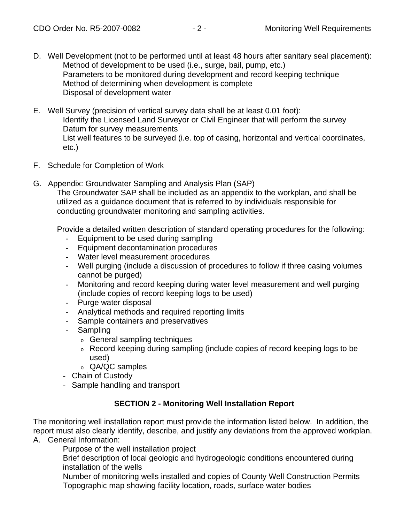- D. Well Development (not to be performed until at least 48 hours after sanitary seal placement): Method of development to be used (i.e., surge, bail, pump, etc.) Parameters to be monitored during development and record keeping technique Method of determining when development is complete Disposal of development water
- E. Well Survey (precision of vertical survey data shall be at least 0.01 foot): Identify the Licensed Land Surveyor or Civil Engineer that will perform the survey Datum for survey measurements List well features to be surveyed (i.e. top of casing, horizontal and vertical coordinates, etc.)
- F. Schedule for Completion of Work
- G. Appendix: Groundwater Sampling and Analysis Plan (SAP)

The Groundwater SAP shall be included as an appendix to the workplan, and shall be utilized as a guidance document that is referred to by individuals responsible for conducting groundwater monitoring and sampling activities.

Provide a detailed written description of standard operating procedures for the following:

- Equipment to be used during sampling
- Equipment decontamination procedures
- Water level measurement procedures
- Well purging (include a discussion of procedures to follow if three casing volumes cannot be purged)
- Monitoring and record keeping during water level measurement and well purging (include copies of record keeping logs to be used)
- Purge water disposal
- Analytical methods and required reporting limits
- Sample containers and preservatives
- Sampling
	- o General sampling techniques
	- o Record keeping during sampling (include copies of record keeping logs to be used)
	- o QA/QC samples
- Chain of Custody
- Sample handling and transport

## **SECTION 2 - Monitoring Well Installation Report**

The monitoring well installation report must provide the information listed below. In addition, the report must also clearly identify, describe, and justify any deviations from the approved workplan.

A. General Information:

Purpose of the well installation project

Brief description of local geologic and hydrogeologic conditions encountered during installation of the wells

Number of monitoring wells installed and copies of County Well Construction Permits Topographic map showing facility location, roads, surface water bodies